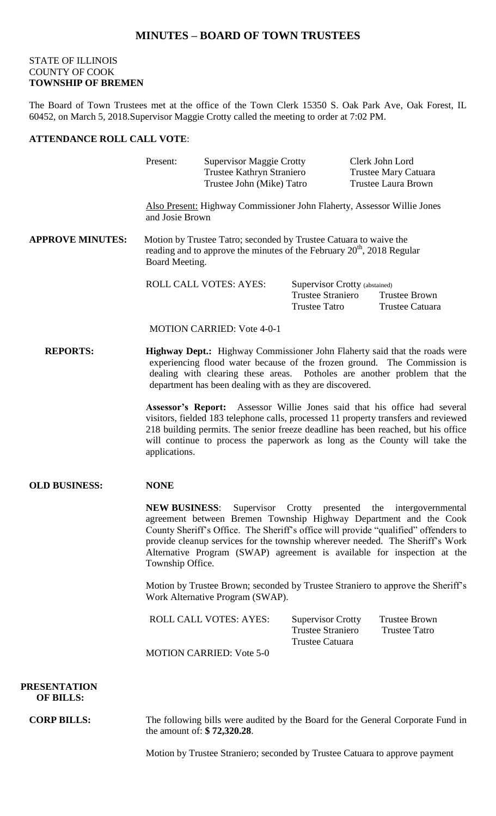## **MINUTES – BOARD OF TOWN TRUSTEES**

## STATE OF ILLINOIS COUNTY OF COOK **TOWNSHIP OF BREMEN**

The Board of Town Trustees met at the office of the Town Clerk 15350 S. Oak Park Ave, Oak Forest, IL 60452, on March 5, 2018.Supervisor Maggie Crotty called the meeting to order at 7:02 PM.

## **ATTENDANCE ROLL CALL VOTE**:

|                         | Present:                                                                                                                                                                                                                                                                                       | <b>Supervisor Maggie Crotty</b><br>Trustee Kathryn Straniero<br>Trustee John (Mike) Tatro                                                                       |                                                                                                                                                                                                                                                                                                                                     |  | Clerk John Lord<br><b>Trustee Mary Catuara</b><br><b>Trustee Laura Brown</b> |  |
|-------------------------|------------------------------------------------------------------------------------------------------------------------------------------------------------------------------------------------------------------------------------------------------------------------------------------------|-----------------------------------------------------------------------------------------------------------------------------------------------------------------|-------------------------------------------------------------------------------------------------------------------------------------------------------------------------------------------------------------------------------------------------------------------------------------------------------------------------------------|--|------------------------------------------------------------------------------|--|
|                         | Also Present: Highway Commissioner John Flaherty, Assessor Willie Jones<br>and Josie Brown                                                                                                                                                                                                     |                                                                                                                                                                 |                                                                                                                                                                                                                                                                                                                                     |  |                                                                              |  |
| <b>APPROVE MINUTES:</b> |                                                                                                                                                                                                                                                                                                | Motion by Trustee Tatro; seconded by Trustee Catuara to waive the<br>reading and to approve the minutes of the February $20th$ , 2018 Regular<br>Board Meeting. |                                                                                                                                                                                                                                                                                                                                     |  |                                                                              |  |
|                         |                                                                                                                                                                                                                                                                                                | <b>ROLL CALL VOTES: AYES:</b>                                                                                                                                   | Supervisor Crotty (abstained)<br><b>Trustee Straniero</b><br><b>Trustee Tatro</b>                                                                                                                                                                                                                                                   |  | <b>Trustee Brown</b><br>Trustee Catuara                                      |  |
|                         |                                                                                                                                                                                                                                                                                                | <b>MOTION CARRIED: Vote 4-0-1</b>                                                                                                                               |                                                                                                                                                                                                                                                                                                                                     |  |                                                                              |  |
| <b>REPORTS:</b>         | Highway Dept.: Highway Commissioner John Flaherty said that the roads were<br>experiencing flood water because of the frozen ground. The Commission is<br>dealing with clearing these areas. Potholes are another problem that the<br>department has been dealing with as they are discovered. |                                                                                                                                                                 |                                                                                                                                                                                                                                                                                                                                     |  |                                                                              |  |
|                         | applications.                                                                                                                                                                                                                                                                                  |                                                                                                                                                                 | Assessor's Report: Assessor Willie Jones said that his office had several<br>visitors, fielded 183 telephone calls, processed 11 property transfers and reviewed<br>218 building permits. The senior freeze deadline has been reached, but his office<br>will continue to process the paperwork as long as the County will take the |  |                                                                              |  |
| <b>OLD BUSINESS:</b>    | <b>NONE</b>                                                                                                                                                                                                                                                                                    |                                                                                                                                                                 |                                                                                                                                                                                                                                                                                                                                     |  |                                                                              |  |

**NEW BUSINESS**: Supervisor Crotty presented the intergovernmental agreement between Bremen Township Highway Department and the Cook County Sheriff's Office. The Sheriff's office will provide "qualified" offenders to provide cleanup services for the township wherever needed. The Sheriff's Work Alternative Program (SWAP) agreement is available for inspection at the Township Office.

Motion by Trustee Brown; seconded by Trustee Straniero to approve the Sheriff's Work Alternative Program (SWAP).

| <b>ROLL CALL VOTES: AYES:</b> | <b>Supervisor Crotty</b> | <b>Trustee Brown</b> |
|-------------------------------|--------------------------|----------------------|
|                               | Trustee Straniero        | Trustee Tatro        |
|                               | Trustee Catuara          |                      |
|                               |                          |                      |

MOTION CARRIED: Vote 5-0

 **PRESENTATION OF BILLS:**

**CORP BILLS:** The following bills were audited by the Board for the General Corporate Fund in the amount of: **\$ 72,320.28**.

Motion by Trustee Straniero; seconded by Trustee Catuara to approve payment